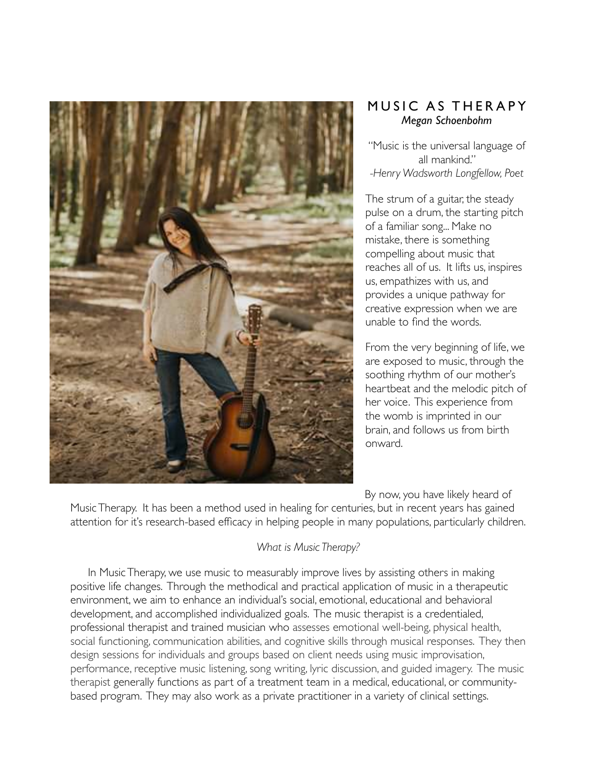

# MUSIC AS THERAPY *Megan Schoenbohm*

"Music is the universal language of all mankind." *-Henry Wadsworth Longfellow, Poet*

The strum of a guitar, the steady pulse on a drum, the starting pitch of a familiar song... Make no mistake, there is something compelling about music that reaches all of us. It lifts us, inspires us, empathizes with us, and provides a unique pathway for creative expression when we are unable to find the words.

From the very beginning of life, we are exposed to music, through the soothing rhythm of our mother's heartbeat and the melodic pitch of her voice. This experience from the womb is imprinted in our brain, and follows us from birth onward.

By now, you have likely heard of Music Therapy. It has been a method used in healing for centuries, but in recent years has gained attention for it's research-based efficacy in helping people in many populations, particularly children.

## *What is Music Therapy?*

In Music Therapy, we use music to measurably improve lives by assisting others in making positive life changes. Through the methodical and practical application of music in a therapeutic environment, we aim to enhance an individual's social, emotional, educational and behavioral development, and accomplished individualized goals. The music therapist is a credentialed, professional therapist and trained musician who assesses emotional well-being, physical health, social functioning, communication abilities, and cognitive skills through musical responses. They then design sessions for individuals and groups based on client needs using music improvisation, performance, receptive music listening, song writing, lyric discussion, and guided imagery. The music therapist generally functions as part of a treatment team in a medical, educational, or communitybased program. They may also work as a private practitioner in a variety of clinical settings.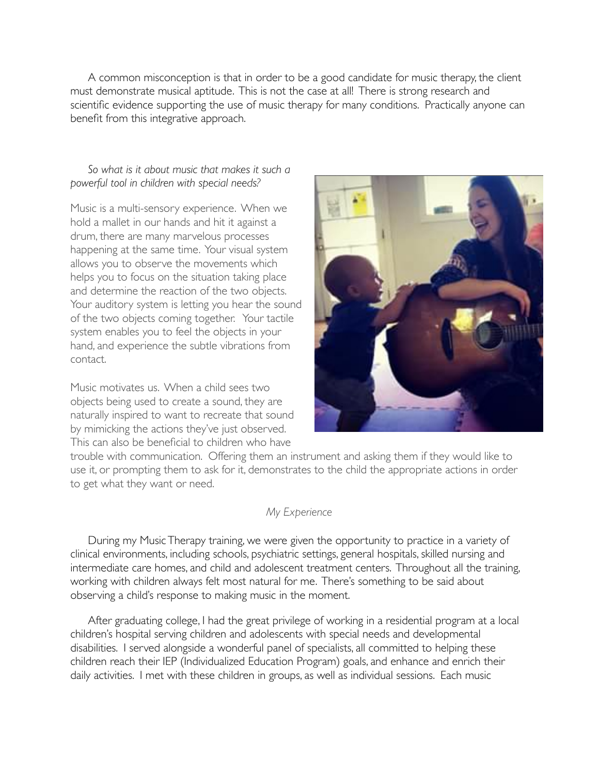A common misconception is that in order to be a good candidate for music therapy, the client must demonstrate musical aptitude. This is not the case at all! There is strong research and scientific evidence supporting the use of music therapy for many conditions. Practically anyone can benefit from this integrative approach.

## *So what is it about music that makes it such a powerful tool in children with special needs?*

Music is a multi-sensory experience. When we hold a mallet in our hands and hit it against a drum, there are many marvelous processes happening at the same time. Your visual system allows you to observe the movements which helps you to focus on the situation taking place and determine the reaction of the two objects. Your auditory system is letting you hear the sound of the two objects coming together. Your tactile system enables you to feel the objects in your hand, and experience the subtle vibrations from contact.

Music motivates us. When a child sees two objects being used to create a sound, they are naturally inspired to want to recreate that sound by mimicking the actions they've just observed. This can also be beneficial to children who have



trouble with communication. Offering them an instrument and asking them if they would like to use it, or prompting them to ask for it, demonstrates to the child the appropriate actions in order to get what they want or need.

## *My Experience*

During my Music Therapy training, we were given the opportunity to practice in a variety of clinical environments, including schools, psychiatric settings, general hospitals, skilled nursing and intermediate care homes, and child and adolescent treatment centers. Throughout all the training, working with children always felt most natural for me. There's something to be said about observing a child's response to making music in the moment.

After graduating college, I had the great privilege of working in a residential program at a local children's hospital serving children and adolescents with special needs and developmental disabilities. I served alongside a wonderful panel of specialists, all committed to helping these children reach their IEP (Individualized Education Program) goals, and enhance and enrich their daily activities. I met with these children in groups, as well as individual sessions. Each music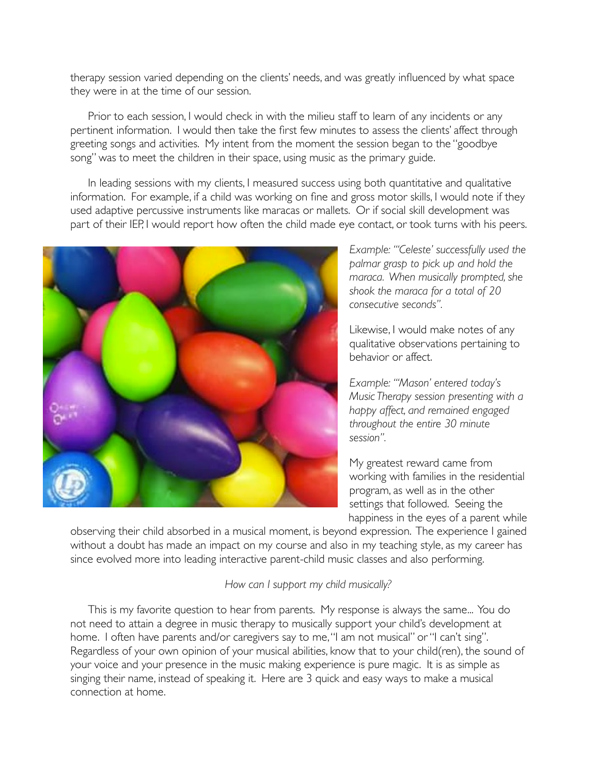therapy session varied depending on the clients' needs, and was greatly influenced by what space they were in at the time of our session.

Prior to each session, I would check in with the milieu staff to learn of any incidents or any pertinent information. I would then take the first few minutes to assess the clients' affect through greeting songs and activities. My intent from the moment the session began to the "goodbye song" was to meet the children in their space, using music as the primary guide.

In leading sessions with my clients, I measured success using both quantitative and qualitative information. For example, if a child was working on fine and gross motor skills, I would note if they used adaptive percussive instruments like maracas or mallets. Or if social skill development was part of their IEP, I would report how often the child made eye contact, or took turns with his peers.



*Example: "'Celeste' successfully used the palmar grasp to pick up and hold the maraca. When musically prompted, she shook the maraca for a total of 20 consecutive seconds".*

Likewise, I would make notes of any qualitative observations pertaining to behavior or affect.

*Example: "'Mason' entered today's Music Therapy session presenting with a happy affect, and remained engaged throughout the entire 30 minute session".* 

My greatest reward came from working with families in the residential program, as well as in the other settings that followed. Seeing the happiness in the eyes of a parent while

observing their child absorbed in a musical moment, is beyond expression. The experience I gained without a doubt has made an impact on my course and also in my teaching style, as my career has since evolved more into leading interactive parent-child music classes and also performing.

## *How can I support my child musically?*

This is my favorite question to hear from parents. My response is always the same... You do not need to attain a degree in music therapy to musically support your child's development at home. I often have parents and/or caregivers say to me, "I am not musical" or "I can't sing". Regardless of your own opinion of your musical abilities, know that to your child(ren), the sound of your voice and your presence in the music making experience is pure magic. It is as simple as singing their name, instead of speaking it. Here are 3 quick and easy ways to make a musical connection at home.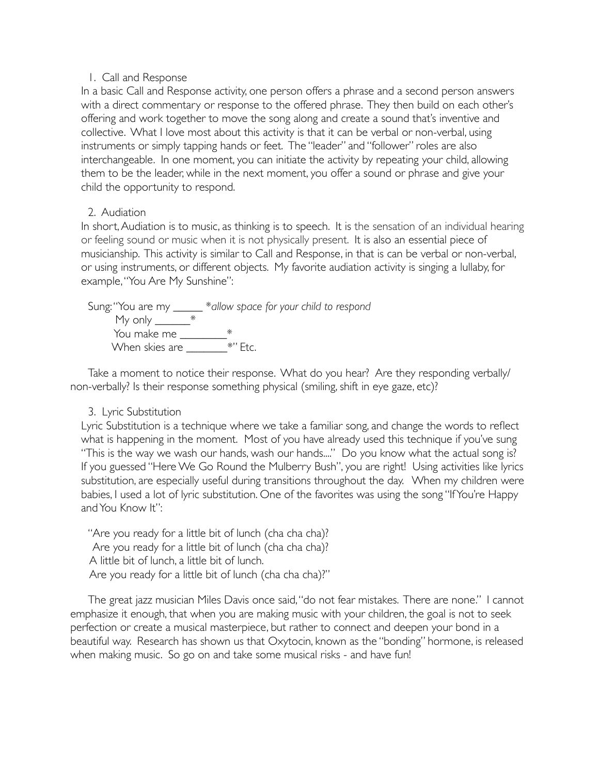#### 1. Call and Response

In a basic Call and Response activity, one person offers a phrase and a second person answers with a direct commentary or response to the offered phrase. They then build on each other's offering and work together to move the song along and create a sound that's inventive and collective. What I love most about this activity is that it can be verbal or non-verbal, using instruments or simply tapping hands or feet. The "leader" and "follower" roles are also interchangeable. In one moment, you can initiate the activity by repeating your child, allowing them to be the leader, while in the next moment, you offer a sound or phrase and give your child the opportunity to respond.

#### 2. Audiation

In short, Audiation is to music, as thinking is to speech. It is the sensation of an individual hearing or feeling sound or music when it is not physically present. It is also an essential piece of musicianship. This activity is similar to Call and Response, in that is can be verbal or non-verbal, or using instruments, or different objects. My favorite audiation activity is singing a lullaby, for example, "You Are My Sunshine":

Sung: "You are my \_\_\_\_\_ \**allow space for your child to respond* My only \_\_\_\_\_\_\_\_\_ $^{\ast}$ You make me \_\_\_\_\_\_\_\_\_\_\_\* When skies are \_\_\_\_\_\_\_\_\_\_\_\*" Etc.

Take a moment to notice their response. What do you hear? Are they responding verbally/ non-verbally? Is their response something physical (smiling, shift in eye gaze, etc)?

#### 3. Lyric Substitution

Lyric Substitution is a technique where we take a familiar song, and change the words to reflect what is happening in the moment. Most of you have already used this technique if you've sung "This is the way we wash our hands, wash our hands...." Do you know what the actual song is? If you guessed "Here We Go Round the Mulberry Bush", you are right! Using activities like lyrics substitution, are especially useful during transitions throughout the day. When my children were babies, I used a lot of lyric substitution. One of the favorites was using the song "If You're Happy and You Know It":

"Are you ready for a little bit of lunch (cha cha cha)? Are you ready for a little bit of lunch (cha cha cha)? A little bit of lunch, a little bit of lunch. Are you ready for a little bit of lunch (cha cha cha)?"

The great jazz musician Miles Davis once said, "do not fear mistakes. There are none." I cannot emphasize it enough, that when you are making music with your children, the goal is not to seek perfection or create a musical masterpiece, but rather to connect and deepen your bond in a beautiful way. Research has shown us that Oxytocin, known as the "bonding" hormone, is released when making music. So go on and take some musical risks - and have fun!